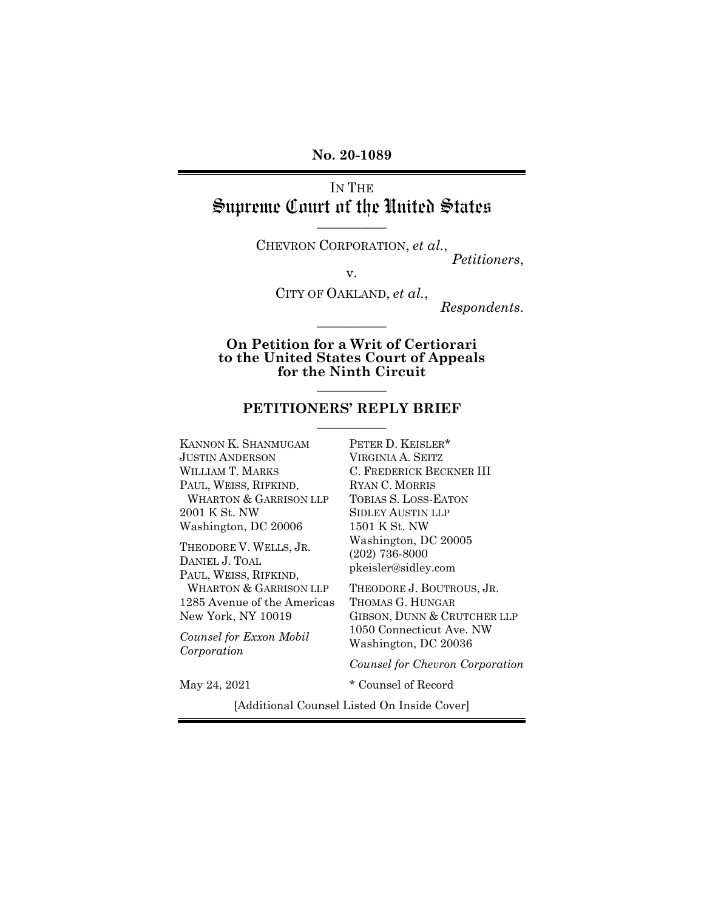**No. 20-1089**

IN THE Supreme Court of the United States **\_\_\_\_\_\_\_\_\_\_\_**

> CHEVRON CORPORATION, *et al.*, *Petitioners*,

> > v.

CITY OF OAKLAND, *et al.*,

*Respondents*.

**On Petition for a Writ of Certiorari to the United States Court of Appeals for the Ninth Circuit**

**\_\_\_\_\_\_\_\_\_\_\_**

#### **PETITIONERS' REPLY BRIEF \_\_\_\_\_\_\_\_\_\_\_**

**\_\_\_\_\_\_\_\_\_\_\_**

KANNON K. SHANMUGAM JUSTIN ANDERSON WILLIAM T. MARKS PAUL, WEISS, RIFKIND, WHARTON & GARRISON LLP 2001 K St. NW Washington, DC 20006

THEODORE V. WELLS, JR. DANIEL J. TOAL PAUL, WEISS, RIFKIND, WHARTON & GARRISON LLP 1285 Avenue of the Americas New York, NY 10019

*Counsel for Exxon Mobil Corporation*

PETER D. KEISLER\* VIRGINIA A. SEITZ C. FREDERICK BECKNER III RYAN C. MORRIS TOBIAS S. LOSS-EATON SIDLEY AUSTIN LLP 1501 K St. NW Washington, DC 20005 (202) 736-8000 pkeisler@sidley.com

THEODORE J. BOUTROUS, JR. THOMAS G. HUNGAR GIBSON, DUNN & CRUTCHER LLP 1050 Connecticut Ave. NW Washington, DC 20036

*Counsel for Chevron Corporation*

May 24, 2021  $*$  Counsel of Record

[Additional Counsel Listed On Inside Cover]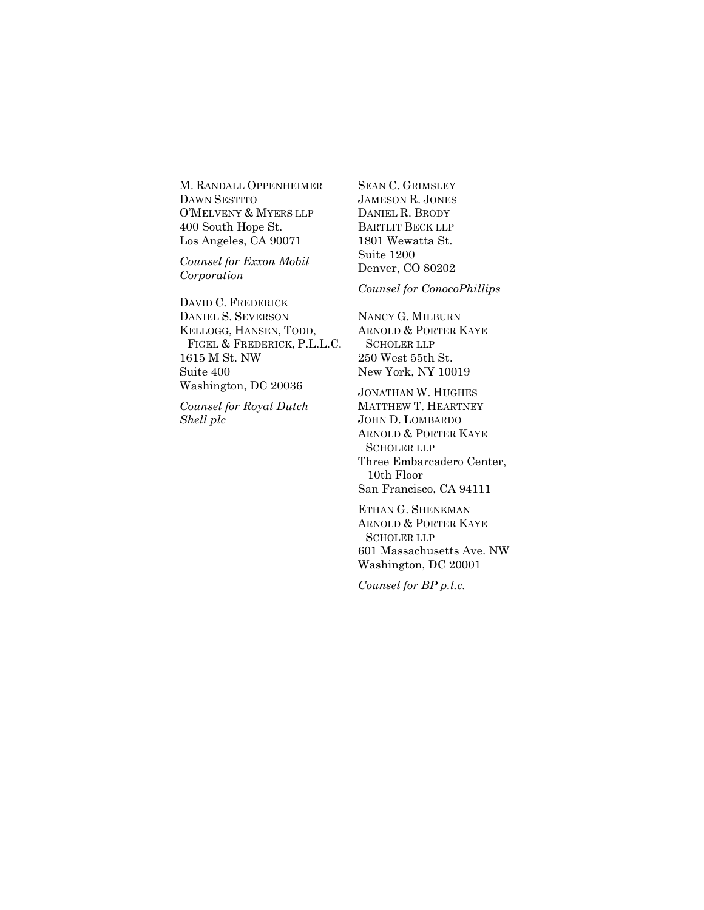M. RANDALL OPPENHEIMER DAWN SESTITO O'MELVENY & MYERS LLP 400 South Hope St. Los Angeles, CA 90071

*Counsel for Exxon Mobil Corporation*

DAVID C. FREDERICK DANIEL S. SEVERSON KELLOGG, HANSEN, TODD, FIGEL & FREDERICK, P.L.L.C. 1615 M St. NW Suite 400 Washington, DC 20036

*Counsel for Royal Dutch Shell plc*

SEAN C. GRIMSLEY JAMESON R. JONES DANIEL R. BRODY BARTLIT BECK LLP 1801 Wewatta St. Suite 1200 Denver, CO 80202

*Counsel for ConocoPhillips*

NANCY G. MILBURN ARNOLD & PORTER KAYE SCHOLER LLP 250 West 55th St. New York, NY 10019

JONATHAN W. HUGHES MATTHEW T. HEARTNEY JOHN D. LOMBARDO ARNOLD & PORTER KAYE SCHOLER LLP Three Embarcadero Center, 10th Floor San Francisco, CA 94111

ETHAN G. SHENKMAN ARNOLD & PORTER KAYE SCHOLER LLP 601 Massachusetts Ave. NW Washington, DC 20001

*Counsel for BP p.l.c.*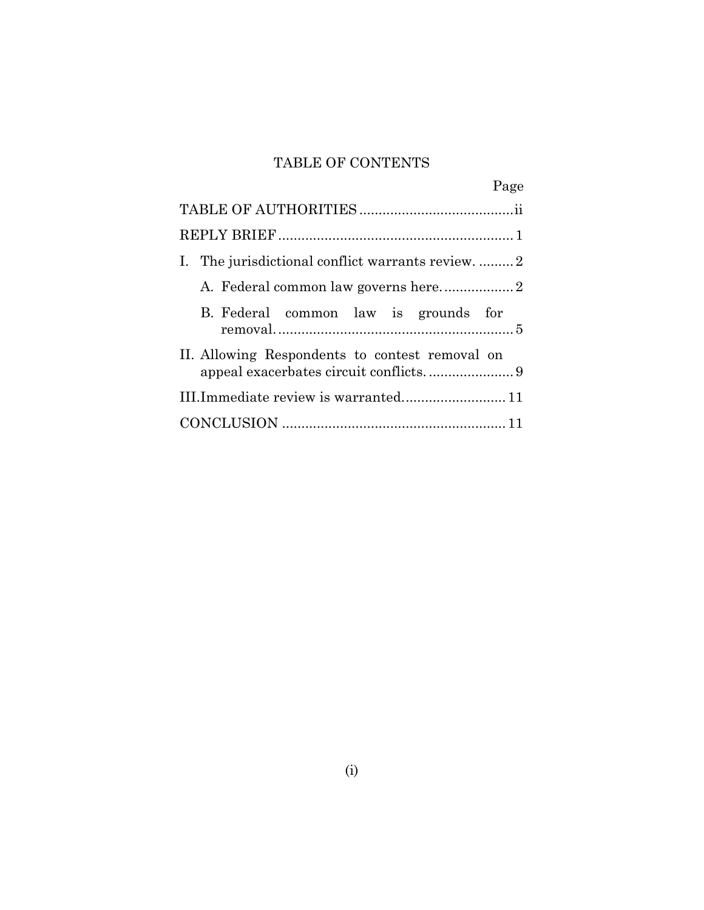## TABLE OF CONTENTS

| Page                                            |
|-------------------------------------------------|
|                                                 |
|                                                 |
| I. The jurisdictional conflict warrants review2 |
|                                                 |
| B. Federal common law is grounds for            |
| II. Allowing Respondents to contest removal on  |
| III.Immediate review is warranted 11            |
|                                                 |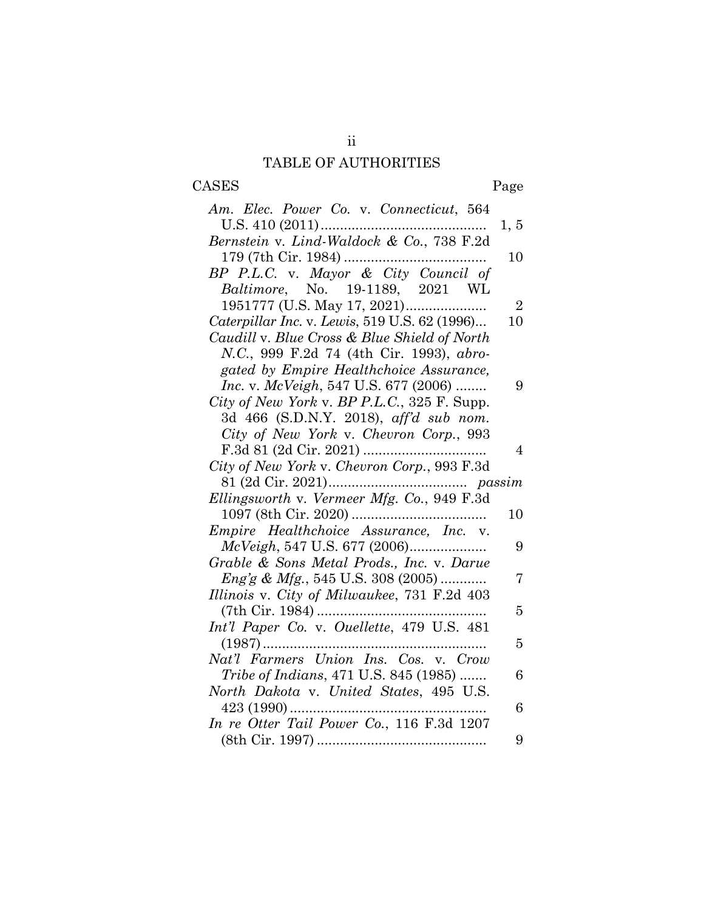# TABLE OF AUTHORITIES

ii

# <span id="page-3-0"></span>CASES Page

| Am. Elec. Power Co. v. Connecticut, 564                                          |                |
|----------------------------------------------------------------------------------|----------------|
| U.S. $410(2011)$                                                                 | 1, 5           |
| Bernstein v. Lind-Waldock & Co., 738 F.2d                                        |                |
|                                                                                  | 10             |
| BP P.L.C. v. Mayor & City Council of                                             |                |
| Baltimore, No. 19-1189, 2021 WL                                                  |                |
|                                                                                  | $\overline{2}$ |
| Caterpillar Inc. v. Lewis, 519 U.S. 62 (1996)                                    | 10             |
| Caudill v. Blue Cross & Blue Shield of North                                     |                |
| N.C., 999 F.2d 74 (4th Cir. 1993), abro-                                         |                |
| gated by Empire Healthchoice Assurance,                                          |                |
| Inc. v. McVeigh, 547 U.S. 677 (2006)                                             | 9              |
| City of New York v. BP P.L.C., 325 F. Supp.                                      |                |
| 3d 466 (S.D.N.Y. 2018), aff'd sub nom.                                           |                |
| City of New York v. Chevron Corp., 993                                           |                |
|                                                                                  | $\overline{4}$ |
| City of New York v. Chevron Corp., 993 F.3d                                      |                |
|                                                                                  |                |
|                                                                                  |                |
|                                                                                  |                |
| Ellingsworth v. Vermeer Mfg. Co., 949 F.3d                                       | 10             |
|                                                                                  |                |
| Empire Healthchoice Assurance, Inc. v.                                           | 9              |
| McVeigh, 547 U.S. 677 (2006)                                                     |                |
| Grable & Sons Metal Prods., Inc. v. Darue                                        | 7              |
| $Eng'g \& Mfg., 545 \text{ U.S. } 308 \ (2005) \dots$                            |                |
| Illinois v. City of Milwaukee, 731 F.2d 403                                      | 5              |
|                                                                                  |                |
| Int'l Paper Co. v. Ouellette, 479 U.S. 481<br>$(1987)$                           | 5              |
| Nat'l Farmers Union Ins. Cos. v. Crow                                            |                |
|                                                                                  | 6              |
| Tribe of Indians, 471 U.S. 845 (1985)<br>North Dakota v. United States, 495 U.S. |                |
|                                                                                  | 6              |
| In re Otter Tail Power Co., 116 F.3d 1207                                        |                |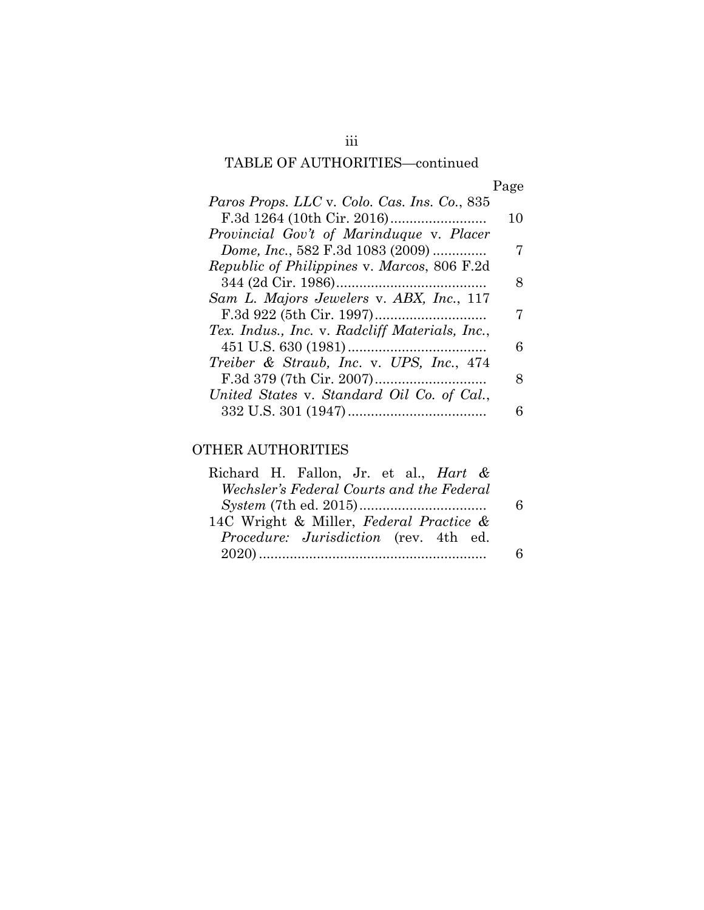# TABLE OF AUTHORITIES—continued

| าย<br>e.<br>ρ |
|---------------|
|---------------|

| Paros Props. LLC v. Colo. Cas. Ins. Co., 835       |    |
|----------------------------------------------------|----|
|                                                    | 10 |
| Provincial Gov't of Marinduque v. Placer           |    |
| Dome, Inc., 582 F.3d 1083 (2009)                   | 7  |
| <i>Republic of Philippines v. Marcos, 806 F.2d</i> |    |
|                                                    | 8  |
| Sam L. Majors Jewelers v. ABX, Inc., 117           |    |
|                                                    | 7  |
| Tex. Indus., Inc. v. Radcliff Materials, Inc.,     |    |
|                                                    | 6  |
| Treiber & Straub, Inc. v. UPS, Inc., 474           |    |
|                                                    | 8  |
| United States v. Standard Oil Co. of Cal.,         |    |
|                                                    | 6  |

## OTHER AUTHORITIES

| Richard H. Fallon, Jr. et al., <i>Hart &amp;</i> |  |
|--------------------------------------------------|--|
| Wechsler's Federal Courts and the Federal        |  |
|                                                  |  |
| 14C Wright & Miller, Federal Practice &          |  |
| Procedure: Jurisdiction (rev. 4th ed.            |  |
|                                                  |  |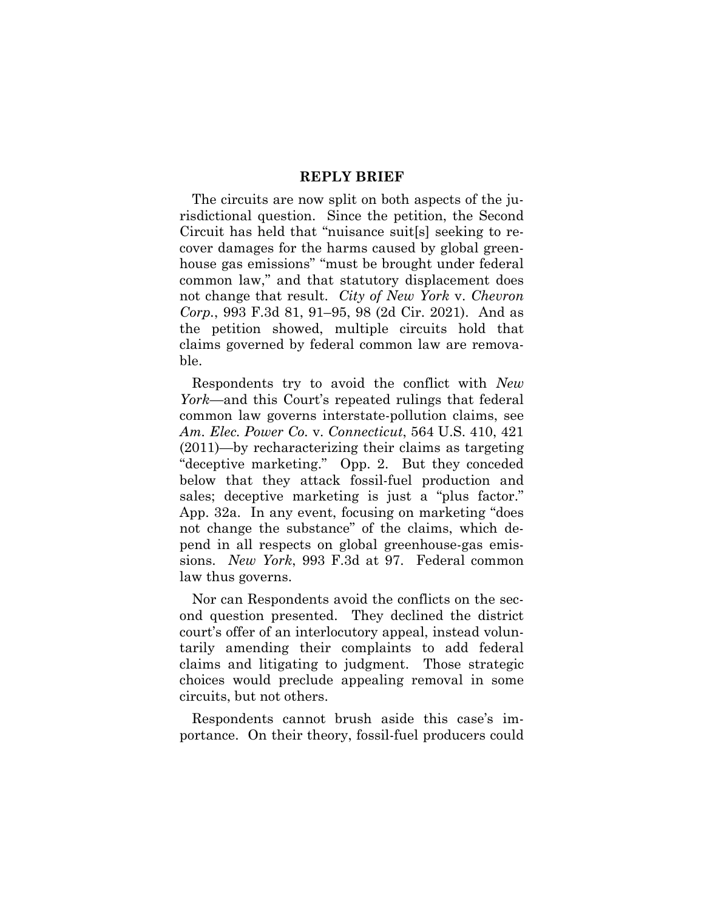## **REPLY BRIEF**

<span id="page-5-0"></span>The circuits are now split on both aspects of the jurisdictional question. Since the petition, the Second Circuit has held that "nuisance suit[s] seeking to recover damages for the harms caused by global greenhouse gas emissions" "must be brought under federal common law," and that statutory displacement does not change that result. *City of New York* v. *Chevron Corp.*, 993 F.3d 81, 91–95, 98 (2d Cir. 2021). And as the petition showed, multiple circuits hold that claims governed by federal common law are removable.

Respondents try to avoid the conflict with *New York*—and this Court's repeated rulings that federal common law governs interstate-pollution claims, see *Am. Elec. Power Co.* v. *Connecticut*, 564 U.S. 410, 421 (2011)—by recharacterizing their claims as targeting "deceptive marketing." Opp. 2. But they conceded below that they attack fossil-fuel production and sales; deceptive marketing is just a "plus factor." App. 32a. In any event, focusing on marketing "does not change the substance" of the claims, which depend in all respects on global greenhouse-gas emissions. *New York*, 993 F.3d at 97. Federal common law thus governs.

Nor can Respondents avoid the conflicts on the second question presented. They declined the district court's offer of an interlocutory appeal, instead voluntarily amending their complaints to add federal claims and litigating to judgment. Those strategic choices would preclude appealing removal in some circuits, but not others.

Respondents cannot brush aside this case's importance. On their theory, fossil-fuel producers could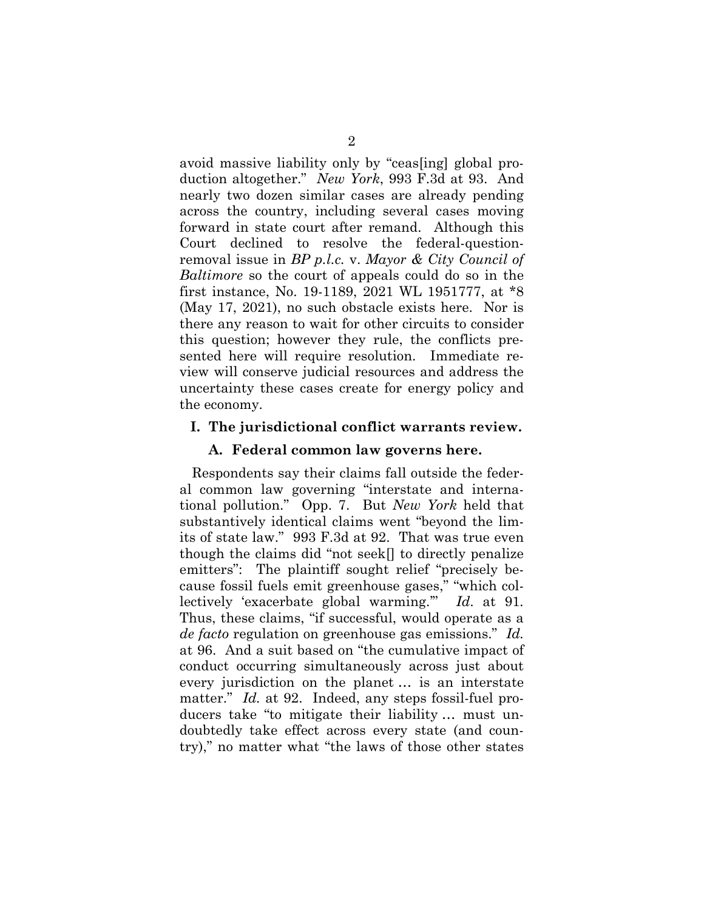avoid massive liability only by "ceas[ing] global production altogether." *New York*, 993 F.3d at 93. And nearly two dozen similar cases are already pending across the country, including several cases moving forward in state court after remand. Although this Court declined to resolve the federal-questionremoval issue in *BP p.l.c.* v. *Mayor & City Council of Baltimore* so the court of appeals could do so in the first instance, No. 19-1189, 2021 WL 1951777, at \*8 (May 17, 2021), no such obstacle exists here. Nor is there any reason to wait for other circuits to consider this question; however they rule, the conflicts presented here will require resolution. Immediate review will conserve judicial resources and address the uncertainty these cases create for energy policy and the economy.

#### <span id="page-6-1"></span><span id="page-6-0"></span>**I. The jurisdictional conflict warrants review.**

#### **A. Federal common law governs here.**

Respondents say their claims fall outside the federal common law governing "interstate and international pollution." Opp. 7. But *New York* held that substantively identical claims went "beyond the limits of state law." 993 F.3d at 92. That was true even though the claims did "not seek[] to directly penalize emitters": The plaintiff sought relief "precisely because fossil fuels emit greenhouse gases," "which collectively 'exacerbate global warming.'" *Id*. at 91*.* Thus, these claims, "if successful, would operate as a *de facto* regulation on greenhouse gas emissions." *Id.* at 96. And a suit based on "the cumulative impact of conduct occurring simultaneously across just about every jurisdiction on the planet … is an interstate matter." *Id.* at 92. Indeed, any steps fossil-fuel producers take "to mitigate their liability … must undoubtedly take effect across every state (and country)," no matter what "the laws of those other states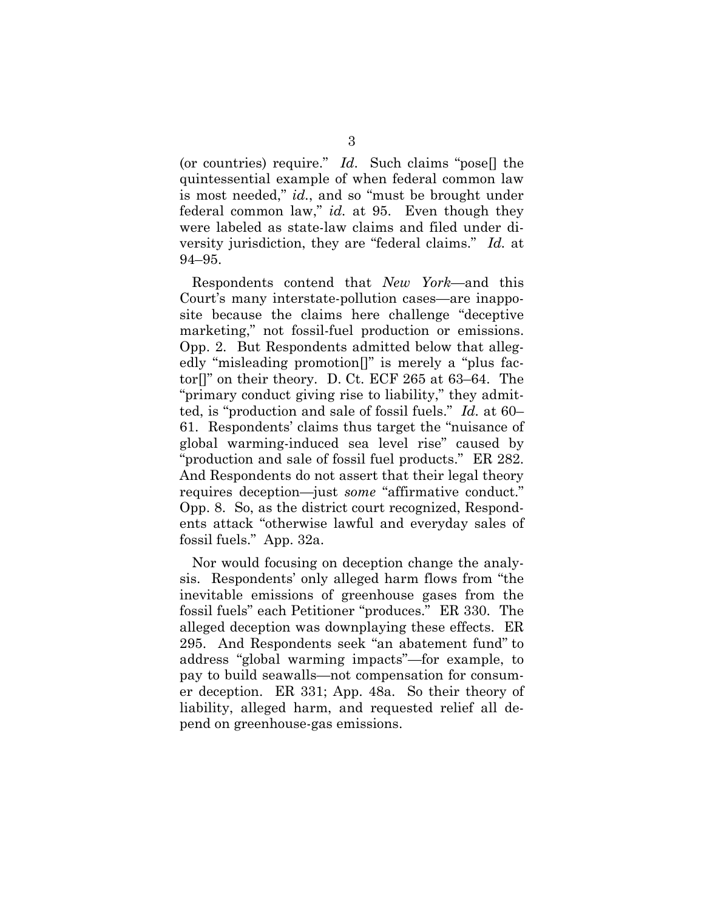(or countries) require." *Id*. Such claims "pose[] the quintessential example of when federal common law is most needed," *id.*, and so "must be brought under federal common law," *id.* at 95. Even though they were labeled as state-law claims and filed under diversity jurisdiction, they are "federal claims." *Id.* at 94–95.

Respondents contend that *New York*—and this Court's many interstate-pollution cases—are inapposite because the claims here challenge "deceptive marketing," not fossil-fuel production or emissions. Opp. 2. But Respondents admitted below that allegedly "misleading promotion[]" is merely a "plus factor[]" on their theory. D. Ct. ECF 265 at 63–64. The "primary conduct giving rise to liability," they admitted, is "production and sale of fossil fuels." *Id.* at 60– 61. Respondents' claims thus target the "nuisance of global warming-induced sea level rise" caused by "production and sale of fossil fuel products." ER 282. And Respondents do not assert that their legal theory requires deception—just *some* "affirmative conduct." Opp. 8. So, as the district court recognized, Respondents attack "otherwise lawful and everyday sales of fossil fuels." App. 32a.

Nor would focusing on deception change the analysis. Respondents' only alleged harm flows from "the inevitable emissions of greenhouse gases from the fossil fuels" each Petitioner "produces." ER 330. The alleged deception was downplaying these effects. ER 295. And Respondents seek "an abatement fund" to address "global warming impacts"—for example, to pay to build seawalls—not compensation for consumer deception. ER 331; App. 48a. So their theory of liability, alleged harm, and requested relief all depend on greenhouse-gas emissions.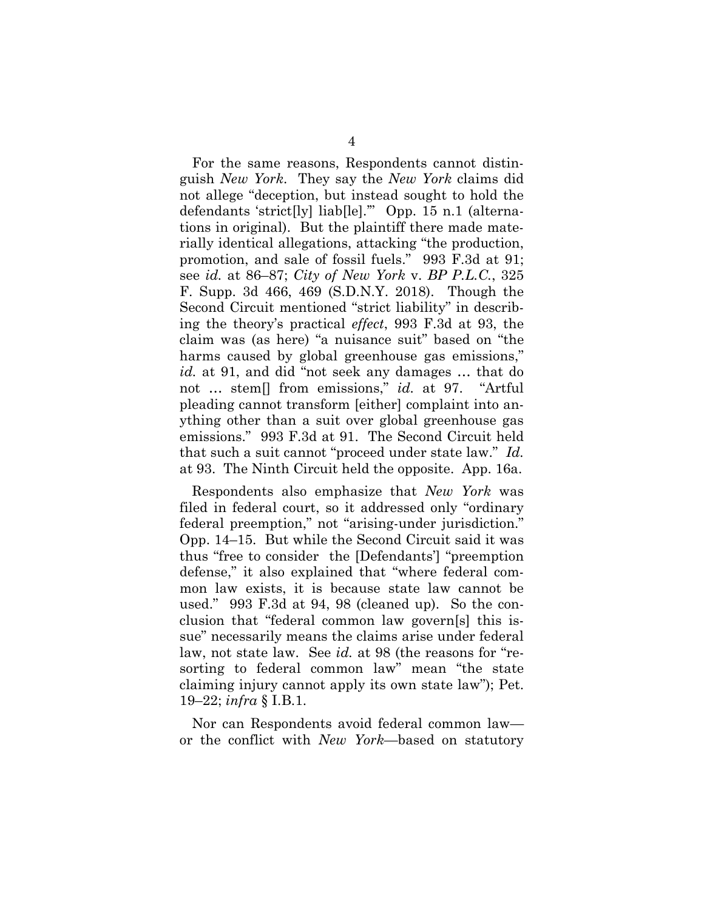For the same reasons, Respondents cannot distinguish *New York*. They say the *New York* claims did not allege "deception, but instead sought to hold the defendants 'strict[ly] liab[le].'" Opp. 15 n.1 (alternations in original). But the plaintiff there made materially identical allegations, attacking "the production, promotion, and sale of fossil fuels." 993 F.3d at 91; see *id.* at 86–87; *City of New York* v. *BP P.L.C.*, 325 F. Supp. 3d 466, 469 (S.D.N.Y. 2018). Though the Second Circuit mentioned "strict liability" in describing the theory's practical *effect*, 993 F.3d at 93, the claim was (as here) "a nuisance suit" based on "the harms caused by global greenhouse gas emissions," *id.* at 91, and did "not seek any damages … that do not … stem[] from emissions," *id.* at 97. "Artful pleading cannot transform [either] complaint into anything other than a suit over global greenhouse gas emissions." 993 F.3d at 91. The Second Circuit held that such a suit cannot "proceed under state law." *Id.* at 93. The Ninth Circuit held the opposite. App. 16a.

Respondents also emphasize that *New York* was filed in federal court, so it addressed only "ordinary federal preemption," not "arising-under jurisdiction." Opp. 14–15. But while the Second Circuit said it was thus "free to consider the [Defendants'] "preemption defense," it also explained that "where federal common law exists, it is because state law cannot be used." 993 F.3d at 94, 98 (cleaned up). So the conclusion that "federal common law govern[s] this issue" necessarily means the claims arise under federal law, not state law. See *id.* at 98 (the reasons for "resorting to federal common law" mean "the state claiming injury cannot apply its own state law"); Pet. 19–22; *infra* § I.B.1.

Nor can Respondents avoid federal common law or the conflict with *New York*—based on statutory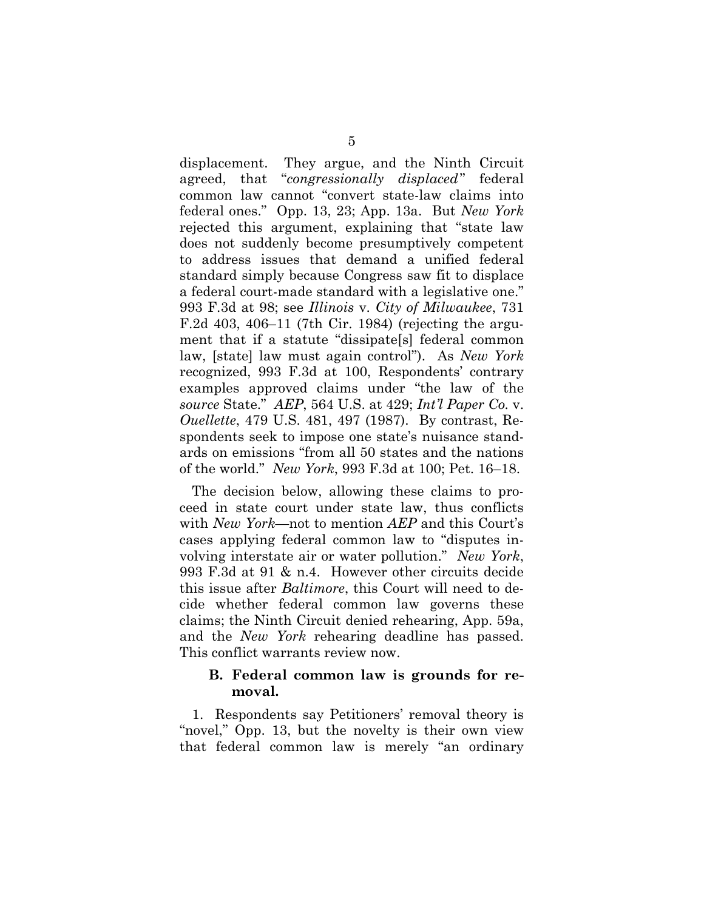displacement. They argue, and the Ninth Circuit agreed, that "*congressionally displaced*" federal common law cannot "convert state-law claims into federal ones." Opp. 13, 23; App. 13a. But *New York* rejected this argument, explaining that "state law does not suddenly become presumptively competent to address issues that demand a unified federal standard simply because Congress saw fit to displace a federal court-made standard with a legislative one." 993 F.3d at 98; see *Illinois* v. *City of Milwaukee*, 731 F.2d 403, 406–11 (7th Cir. 1984) (rejecting the argument that if a statute "dissipate[s] federal common law, [state] law must again control"). As *New York* recognized, 993 F.3d at 100, Respondents' contrary examples approved claims under "the law of the *source* State." *AEP*, 564 U.S. at 429; *Int'l Paper Co.* v. *Ouellette*, 479 U.S. 481, 497 (1987). By contrast, Respondents seek to impose one state's nuisance standards on emissions "from all 50 states and the nations of the world." *New York*, 993 F.3d at 100; Pet. 16–18.

The decision below, allowing these claims to proceed in state court under state law, thus conflicts with *New York*—not to mention *AEP* and this Court's cases applying federal common law to "disputes involving interstate air or water pollution." *New York*, 993 F.3d at 91 & n.4. However other circuits decide this issue after *Baltimore*, this Court will need to decide whether federal common law governs these claims; the Ninth Circuit denied rehearing, App. 59a, and the *New York* rehearing deadline has passed. This conflict warrants review now.

### <span id="page-9-0"></span>**B. Federal common law is grounds for removal.**

1. Respondents say Petitioners' removal theory is "novel," Opp. 13, but the novelty is their own view that federal common law is merely "an ordinary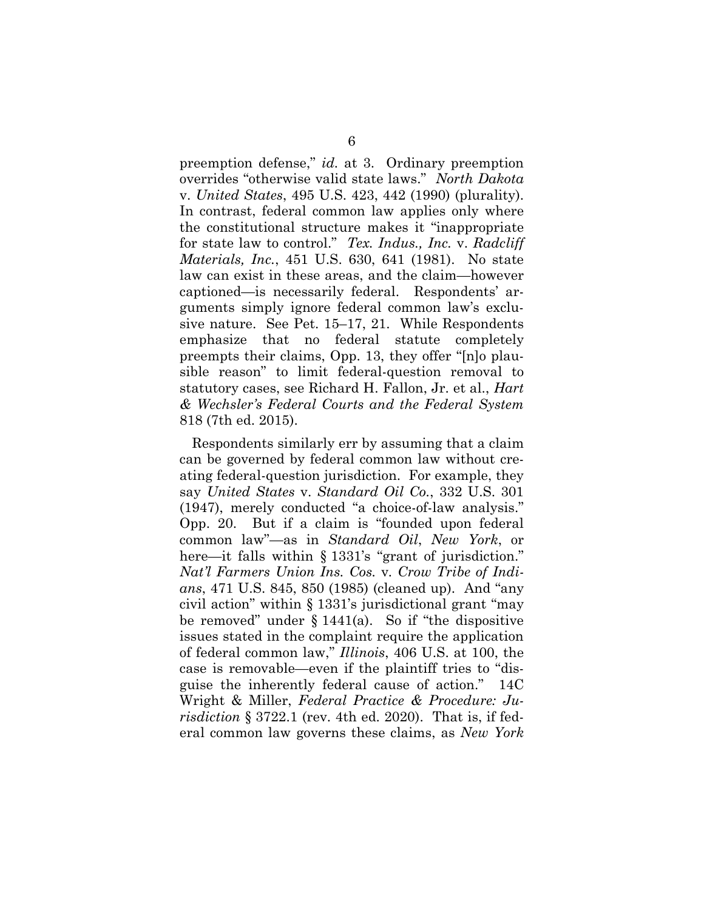preemption defense," *id.* at 3. Ordinary preemption overrides "otherwise valid state laws." *North Dakota* v. *United States*, 495 U.S. 423, 442 (1990) (plurality). In contrast, federal common law applies only where the constitutional structure makes it "inappropriate for state law to control." *Tex. Indus., Inc.* v. *Radcliff Materials, Inc.*, 451 U.S. 630, 641 (1981). No state law can exist in these areas, and the claim—however captioned—is necessarily federal. Respondents' arguments simply ignore federal common law's exclusive nature. See Pet. 15–17, 21. While Respondents emphasize that no federal statute completely preempts their claims, Opp. 13, they offer "[n]o plausible reason" to limit federal-question removal to statutory cases, see Richard H. Fallon, Jr. et al., *Hart & Wechsler's Federal Courts and the Federal System* 818 (7th ed. 2015).

Respondents similarly err by assuming that a claim can be governed by federal common law without creating federal-question jurisdiction. For example, they say *United States* v. *Standard Oil Co.*, 332 U.S. 301 (1947), merely conducted "a choice-of-law analysis." Opp. 20. But if a claim is "founded upon federal common law"—as in *Standard Oil*, *New York*, or here—it falls within § 1331's "grant of jurisdiction." *Nat'l Farmers Union Ins. Cos.* v*. Crow Tribe of Indians*, 471 U.S. 845, 850 (1985) (cleaned up). And "any civil action" within § 1331's jurisdictional grant "may be removed" under  $\S 1441(a)$ . So if "the dispositive" issues stated in the complaint require the application of federal common law," *Illinois*, 406 U.S. at 100, the case is removable—even if the plaintiff tries to "disguise the inherently federal cause of action." 14C Wright & Miller, *Federal Practice & Procedure: Jurisdiction* § 3722.1 (rev. 4th ed. 2020). That is, if federal common law governs these claims, as *New York*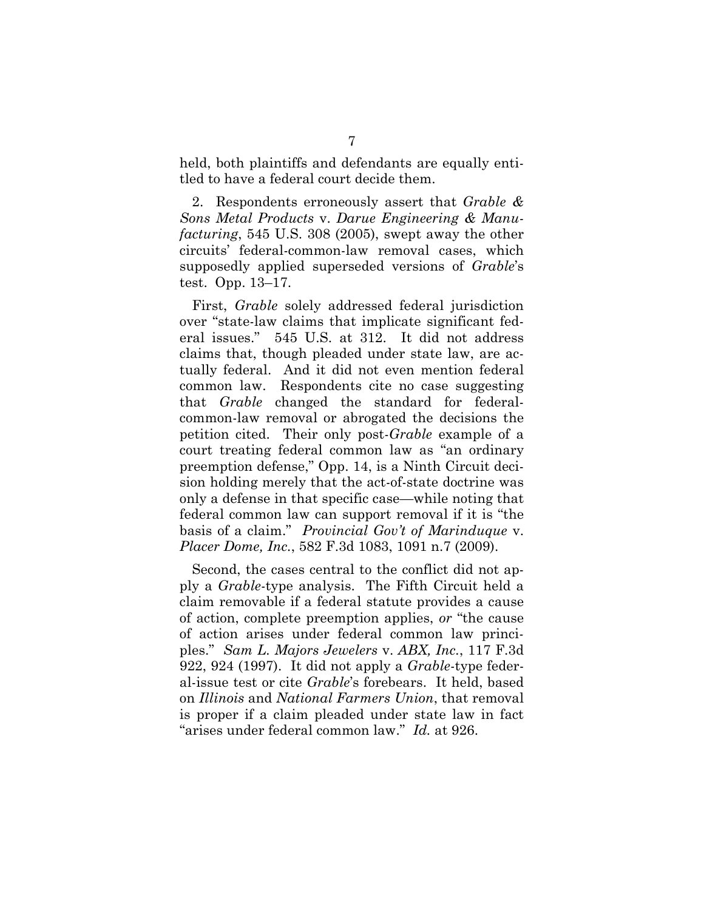held, both plaintiffs and defendants are equally entitled to have a federal court decide them.

2. Respondents erroneously assert that *Grable & Sons Metal Products* v. *Darue Engineering & Manufacturing*, 545 U.S. 308 (2005), swept away the other circuits' federal-common-law removal cases, which supposedly applied superseded versions of *Grable*'s test. Opp. 13–17.

First, *Grable* solely addressed federal jurisdiction over "state-law claims that implicate significant federal issues." 545 U.S. at 312. It did not address claims that, though pleaded under state law, are actually federal. And it did not even mention federal common law. Respondents cite no case suggesting that *Grable* changed the standard for federalcommon-law removal or abrogated the decisions the petition cited. Their only post-*Grable* example of a court treating federal common law as "an ordinary preemption defense," Opp. 14, is a Ninth Circuit decision holding merely that the act-of-state doctrine was only a defense in that specific case—while noting that federal common law can support removal if it is "the basis of a claim." *Provincial Gov't of Marinduque* v. *Placer Dome, Inc.*, 582 F.3d 1083, 1091 n.7 (2009).

Second, the cases central to the conflict did not apply a *Grable*-type analysis. The Fifth Circuit held a claim removable if a federal statute provides a cause of action, complete preemption applies, *or* "the cause of action arises under federal common law principles." *Sam L. Majors Jewelers* v. *ABX, Inc.*, 117 F.3d 922, 924 (1997). It did not apply a *Grable*-type federal-issue test or cite *Grable*'s forebears. It held, based on *Illinois* and *National Farmers Union*, that removal is proper if a claim pleaded under state law in fact "arises under federal common law." *Id.* at 926.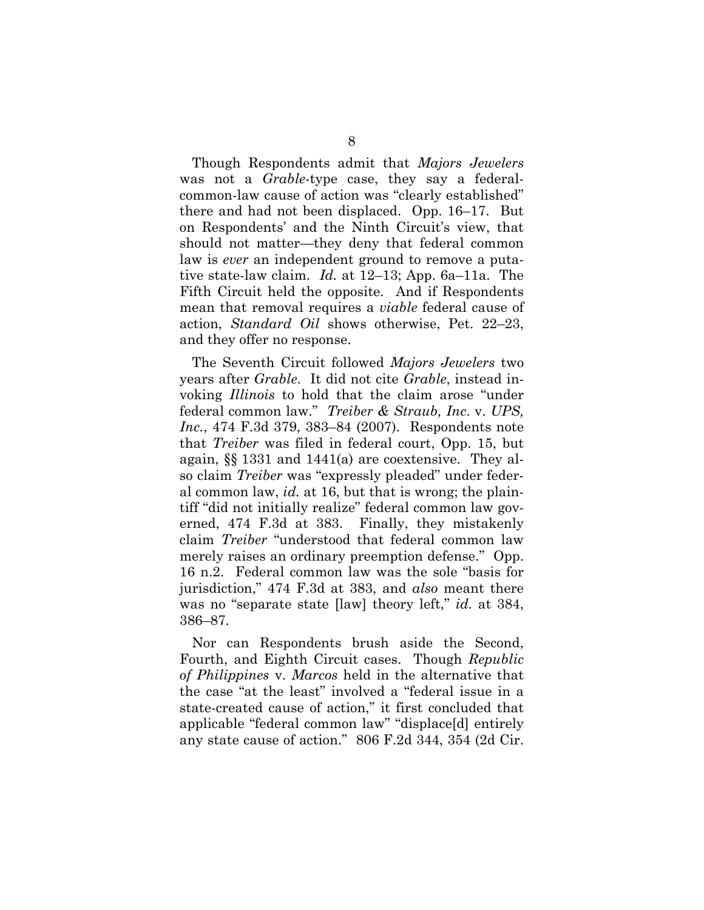Though Respondents admit that *Majors Jewelers* was not a *Grable*-type case, they say a federalcommon-law cause of action was "clearly established" there and had not been displaced. Opp. 16–17. But on Respondents' and the Ninth Circuit's view, that should not matter—they deny that federal common law is *ever* an independent ground to remove a putative state-law claim. *Id.* at 12–13; App. 6a–11a. The Fifth Circuit held the opposite. And if Respondents mean that removal requires a *viable* federal cause of action, *Standard Oil* shows otherwise, Pet. 22–23, and they offer no response.

The Seventh Circuit followed *Majors Jewelers* two years after *Grable*. It did not cite *Grable*, instead invoking *Illinois* to hold that the claim arose "under federal common law." *Treiber & Straub, Inc*. v. *UPS, Inc.*, 474 F.3d 379, 383–84 (2007). Respondents note that *Treiber* was filed in federal court, Opp. 15, but again, §§ 1331 and 1441(a) are coextensive. They also claim *Treiber* was "expressly pleaded" under federal common law, *id.* at 16, but that is wrong; the plaintiff "did not initially realize" federal common law governed, 474 F.3d at 383. Finally, they mistakenly claim *Treiber* "understood that federal common law merely raises an ordinary preemption defense." Opp. 16 n.2. Federal common law was the sole "basis for jurisdiction," 474 F.3d at 383, and *also* meant there was no "separate state [law] theory left," *id.* at 384, 386–87.

Nor can Respondents brush aside the Second, Fourth, and Eighth Circuit cases. Though *Republic of Philippines* v. *Marcos* held in the alternative that the case "at the least" involved a "federal issue in a state-created cause of action," it first concluded that applicable "federal common law" "displace[d] entirely any state cause of action." 806 F.2d 344, 354 (2d Cir.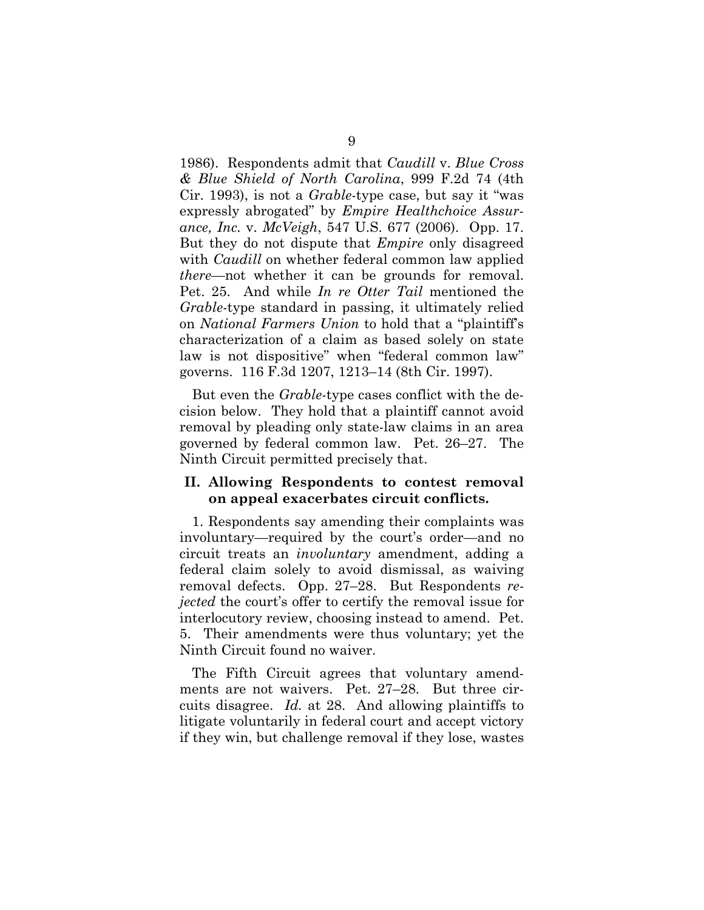1986). Respondents admit that *Caudill* v. *Blue Cross & Blue Shield of North Carolina*, 999 F.2d 74 (4th Cir. 1993), is not a *Grable*-type case, but say it "was expressly abrogated" by *Empire Healthchoice Assurance, Inc.* v. *McVeigh*, 547 U.S. 677 (2006). Opp. 17. But they do not dispute that *Empire* only disagreed with *Caudill* on whether federal common law applied *there*—not whether it can be grounds for removal. Pet. 25. And while *In re Otter Tail* mentioned the *Grable*-type standard in passing, it ultimately relied on *National Farmers Union* to hold that a "plaintiff's characterization of a claim as based solely on state law is not dispositive" when "federal common law" governs. 116 F.3d 1207, 1213–14 (8th Cir. 1997).

But even the *Grable*-type cases conflict with the decision below. They hold that a plaintiff cannot avoid removal by pleading only state-law claims in an area governed by federal common law. Pet. 26–27. The Ninth Circuit permitted precisely that.

### <span id="page-13-0"></span>**II. Allowing Respondents to contest removal on appeal exacerbates circuit conflicts.**

1. Respondents say amending their complaints was involuntary—required by the court's order—and no circuit treats an *involuntary* amendment, adding a federal claim solely to avoid dismissal, as waiving removal defects. Opp. 27–28. But Respondents *rejected* the court's offer to certify the removal issue for interlocutory review, choosing instead to amend. Pet. 5. Their amendments were thus voluntary; yet the Ninth Circuit found no waiver.

The Fifth Circuit agrees that voluntary amendments are not waivers. Pet. 27–28. But three circuits disagree. *Id.* at 28. And allowing plaintiffs to litigate voluntarily in federal court and accept victory if they win, but challenge removal if they lose, wastes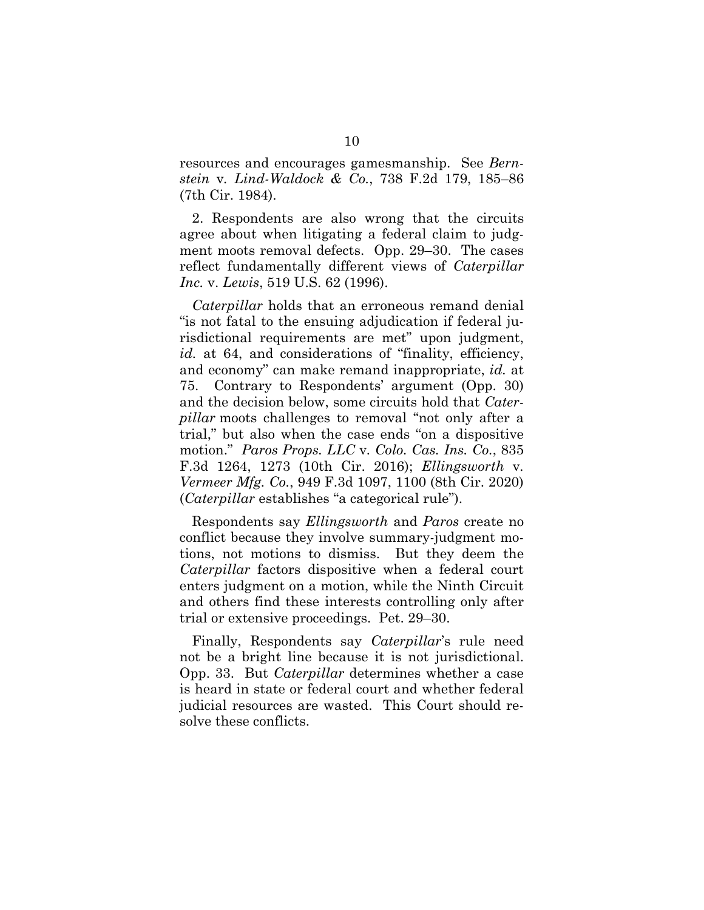resources and encourages gamesmanship. See *Bernstein* v*. Lind-Waldock & Co.*, 738 F.2d 179, 185–86 (7th Cir. 1984).

2. Respondents are also wrong that the circuits agree about when litigating a federal claim to judgment moots removal defects. Opp. 29–30. The cases reflect fundamentally different views of *Caterpillar Inc.* v. *Lewis*, 519 U.S. 62 (1996).

*Caterpillar* holds that an erroneous remand denial "is not fatal to the ensuing adjudication if federal jurisdictional requirements are met" upon judgment, id. at 64, and considerations of "finality, efficiency, and economy" can make remand inappropriate, *id.* at 75. Contrary to Respondents' argument (Opp. 30) and the decision below, some circuits hold that *Caterpillar* moots challenges to removal "not only after a trial," but also when the case ends "on a dispositive motion." *Paros Props. LLC* v*. Colo. Cas. Ins. Co.*, 835 F.3d 1264, 1273 (10th Cir. 2016); *Ellingsworth* v*. Vermeer Mfg. Co.*, 949 F.3d 1097, 1100 (8th Cir. 2020) (*Caterpillar* establishes "a categorical rule").

Respondents say *Ellingsworth* and *Paros* create no conflict because they involve summary-judgment motions, not motions to dismiss. But they deem the *Caterpillar* factors dispositive when a federal court enters judgment on a motion, while the Ninth Circuit and others find these interests controlling only after trial or extensive proceedings. Pet. 29–30.

Finally, Respondents say *Caterpillar*'s rule need not be a bright line because it is not jurisdictional. Opp. 33. But *Caterpillar* determines whether a case is heard in state or federal court and whether federal judicial resources are wasted. This Court should resolve these conflicts.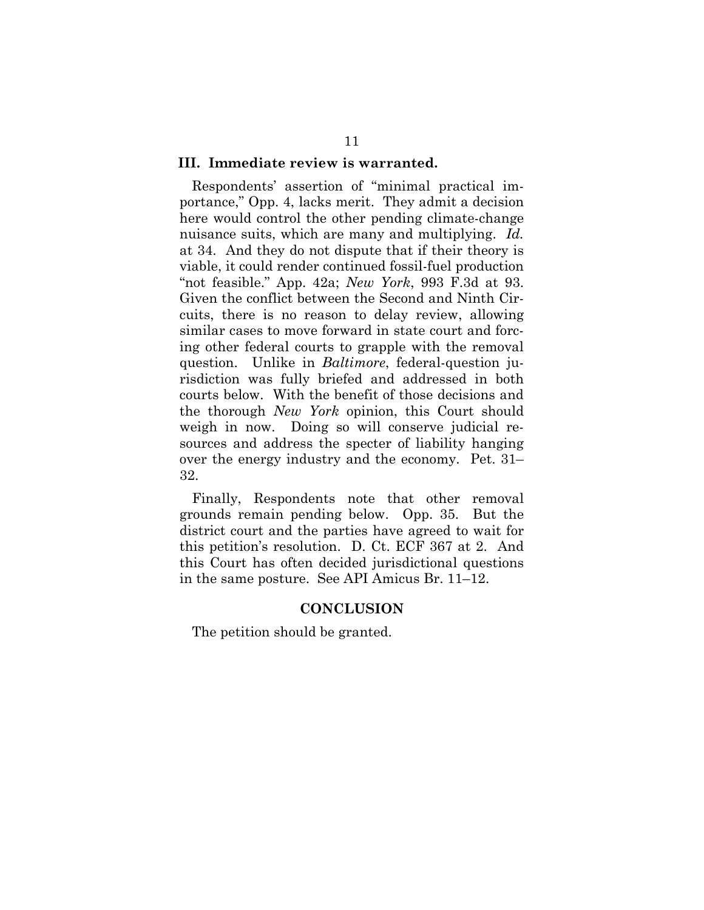#### <span id="page-15-0"></span>**III. Immediate review is warranted.**

Respondents' assertion of "minimal practical importance," Opp. 4, lacks merit. They admit a decision here would control the other pending climate-change nuisance suits, which are many and multiplying. *Id.* at 34. And they do not dispute that if their theory is viable, it could render continued fossil-fuel production "not feasible." App. 42a; *New York*, 993 F.3d at 93. Given the conflict between the Second and Ninth Circuits, there is no reason to delay review, allowing similar cases to move forward in state court and forcing other federal courts to grapple with the removal question. Unlike in *Baltimore*, federal-question jurisdiction was fully briefed and addressed in both courts below. With the benefit of those decisions and the thorough *New York* opinion, this Court should weigh in now. Doing so will conserve judicial resources and address the specter of liability hanging over the energy industry and the economy. Pet. 31– 32.

Finally, Respondents note that other removal grounds remain pending below. Opp. 35. But the district court and the parties have agreed to wait for this petition's resolution. D. Ct. ECF 367 at 2. And this Court has often decided jurisdictional questions in the same posture. See API Amicus Br. 11–12.

#### **CONCLUSION**

<span id="page-15-1"></span>The petition should be granted.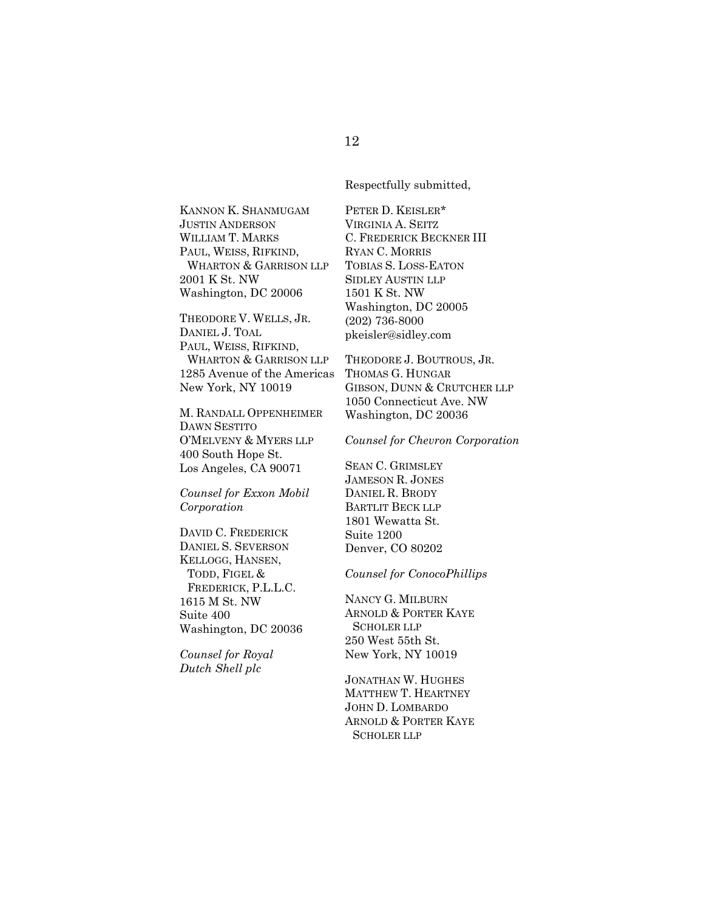Respectfully submitted,

KANNON K. SHANMUGAM JUSTIN ANDERSON WILLIAM T. MARKS PAUL, WEISS, RIFKIND, WHARTON & GARRISON LLP 2001 K St. NW Washington, DC 20006

THEODORE V. WELLS, JR. DANIEL J. TOAL PAUL, WEISS, RIFKIND, WHARTON & GARRISON LLP 1285 Avenue of the Americas New York, NY 10019

M. RANDALL OPPENHEIMER DAWN SESTITO O'MELVENY & MYERS LLP 400 South Hope St. Los Angeles, CA 90071

*Counsel for Exxon Mobil Corporation*

DAVID C. FREDERICK DANIEL S. SEVERSON KELLOGG, HANSEN, TODD, FIGEL & FREDERICK, P.L.L.C. 1615 M St. NW Suite 400 Washington, DC 20036

*Counsel for Royal Dutch Shell plc*

PETER D. KEISLER\* VIRGINIA A. SEITZ C. FREDERICK BECKNER III RYAN C. MORRIS TOBIAS S. LOSS-EATON SIDLEY AUSTIN LLP 1501 K St. NW Washington, DC 20005 (202) 736-8000 pkeisler@sidley.com

THEODORE J. BOUTROUS, JR. THOMAS G. HUNGAR GIBSON, DUNN & CRUTCHER LLP 1050 Connecticut Ave. NW Washington, DC 20036

*Counsel for Chevron Corporation*

SEAN C. GRIMSLEY JAMESON R. JONES DANIEL R. BRODY BARTLIT BECK LLP 1801 Wewatta St. Suite 1200 Denver, CO 80202

*Counsel for ConocoPhillips*

NANCY G. MILBURN ARNOLD & PORTER KAYE SCHOLER LLP 250 West 55th St. New York, NY 10019

JONATHAN W. HUGHES MATTHEW T. HEARTNEY JOHN D. LOMBARDO ARNOLD & PORTER KAYE SCHOLER LLP